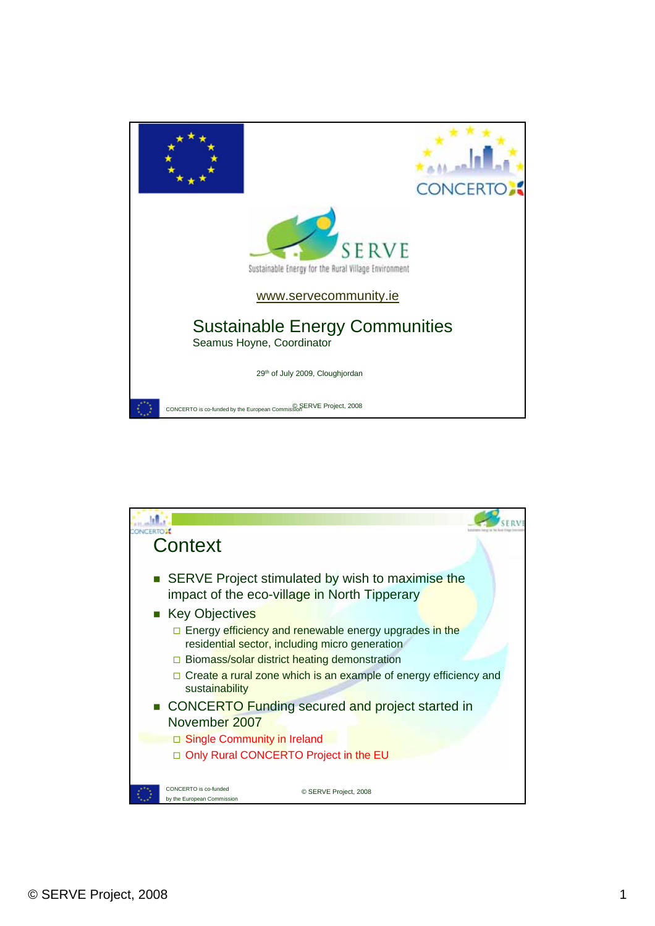

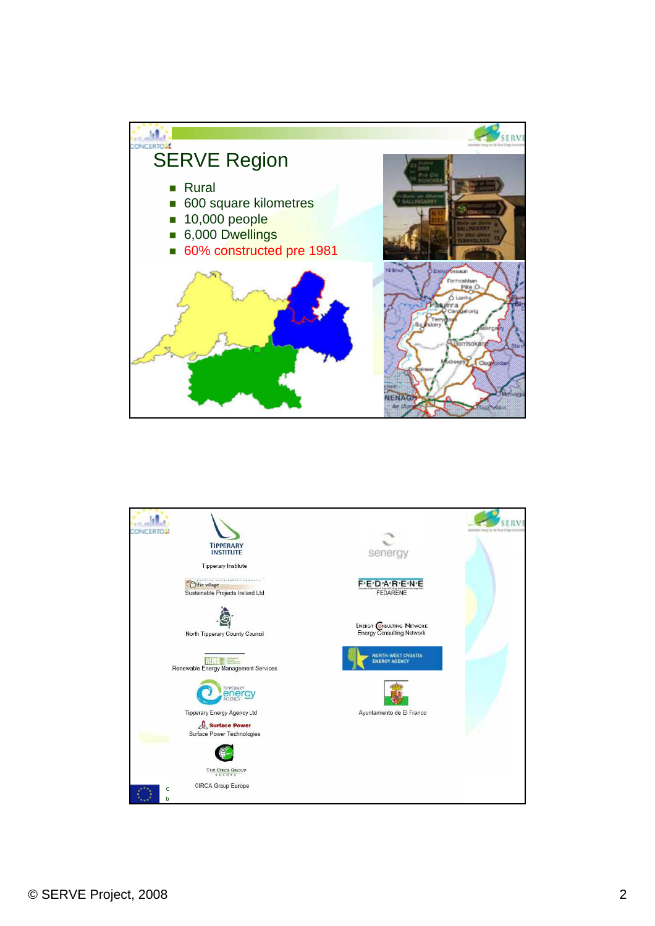

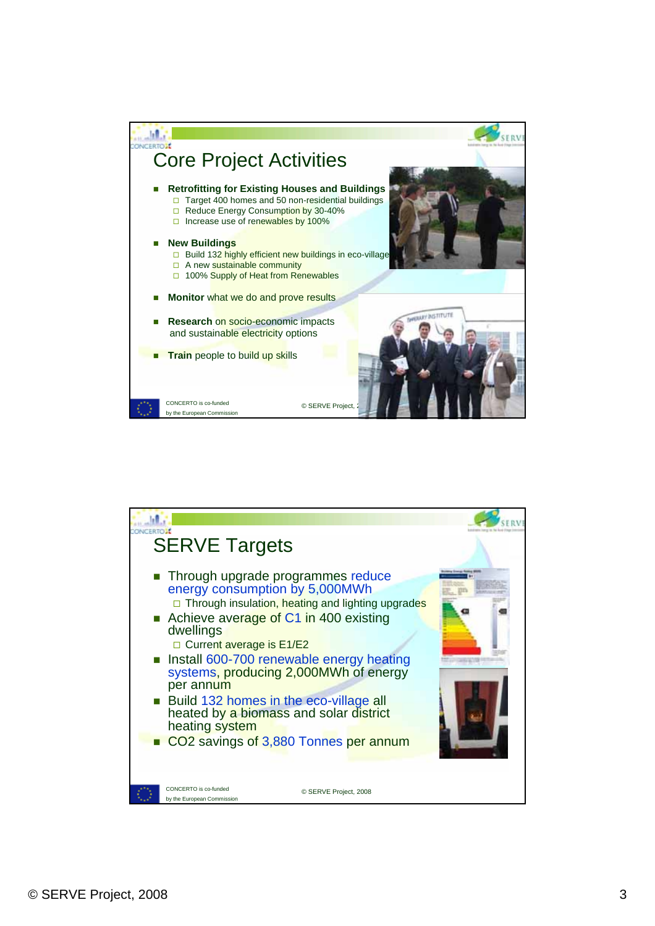

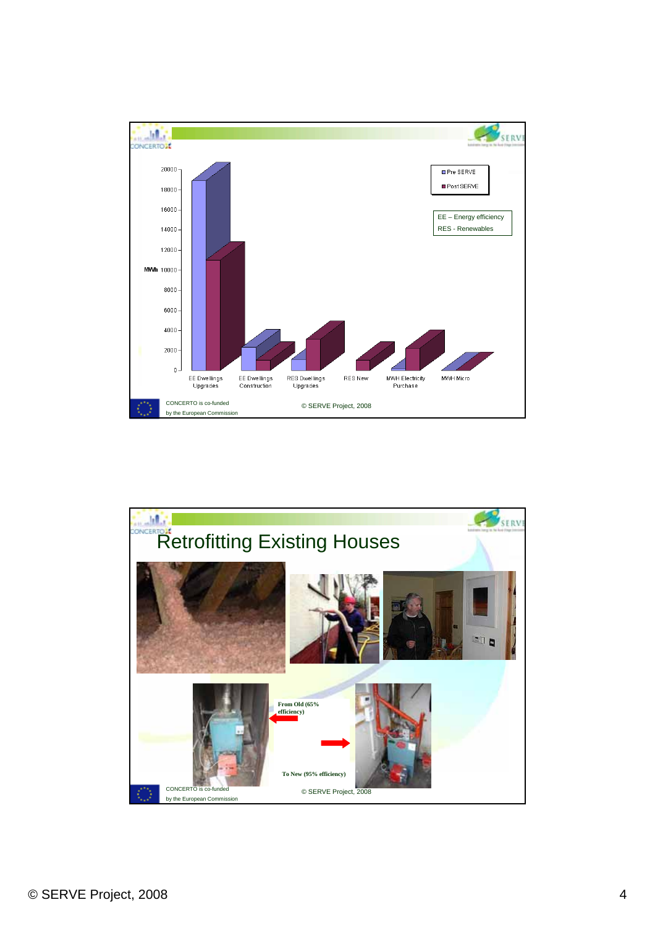

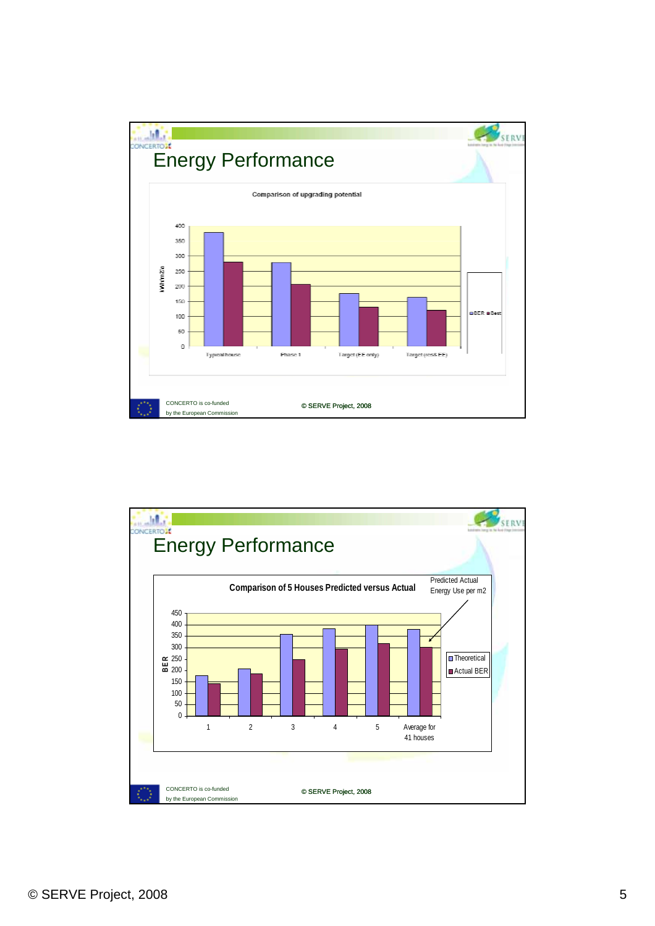

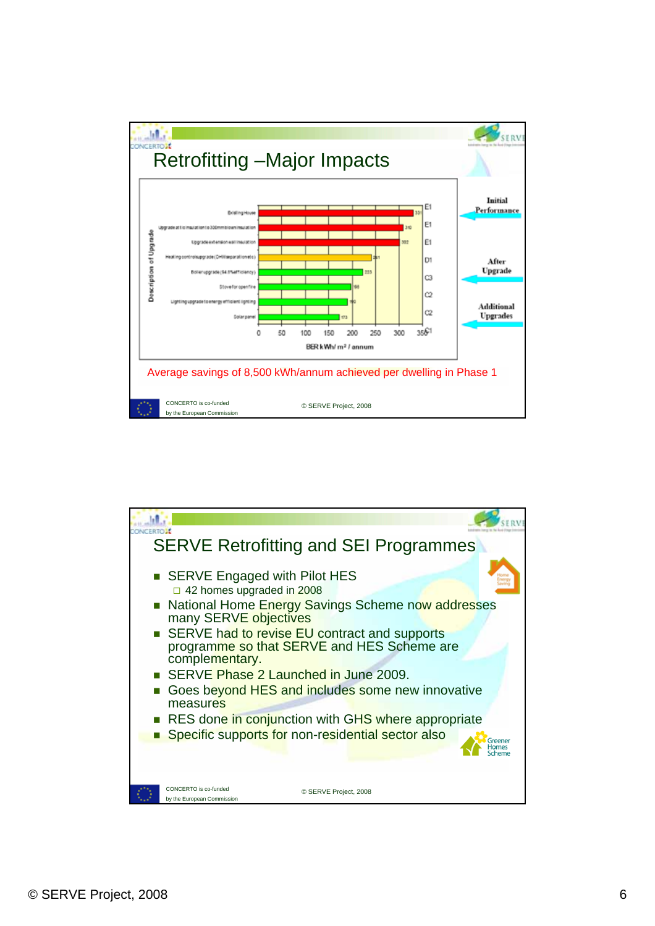

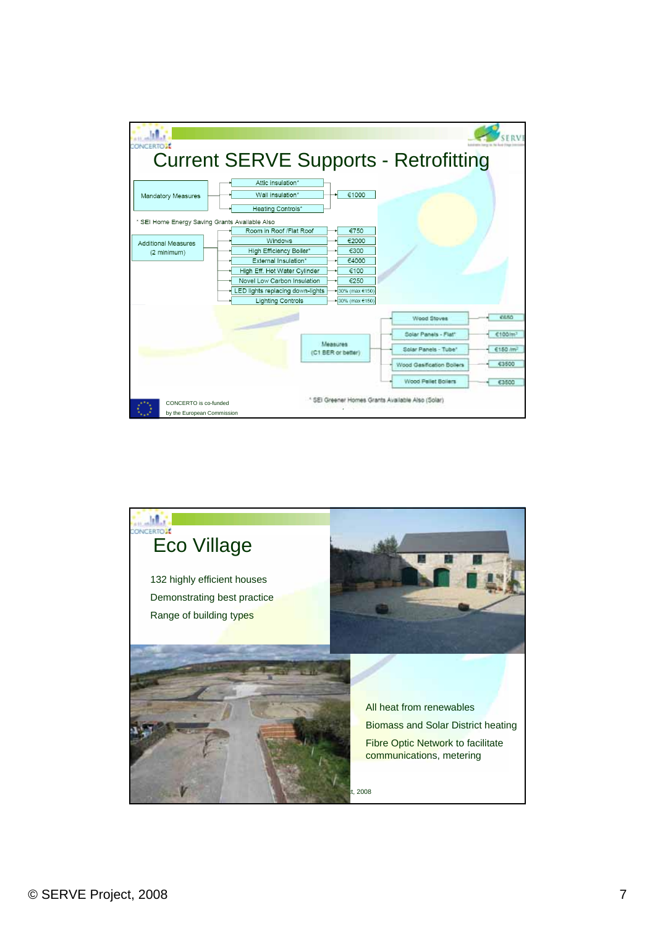

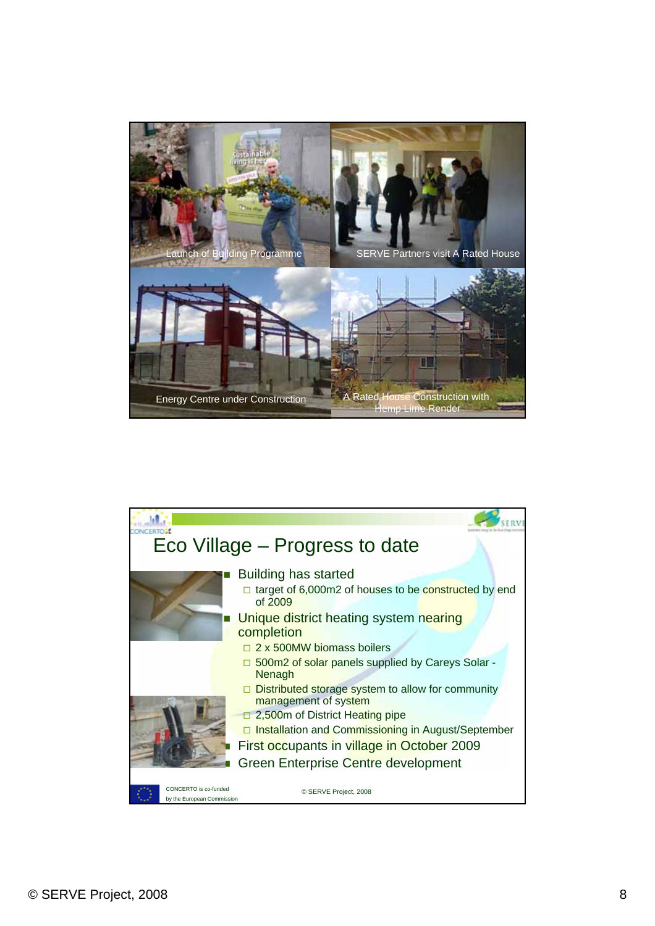

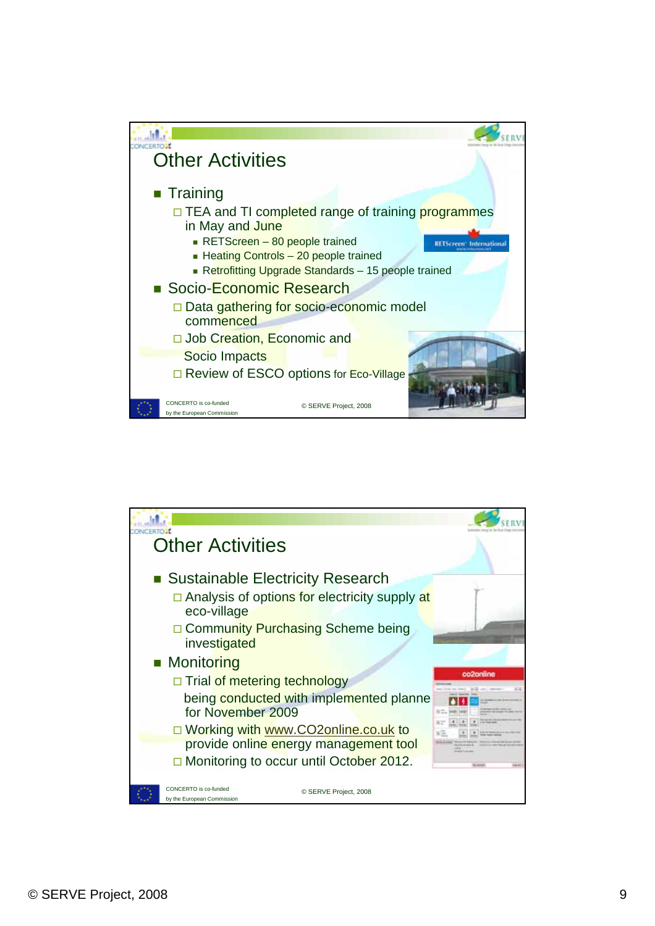

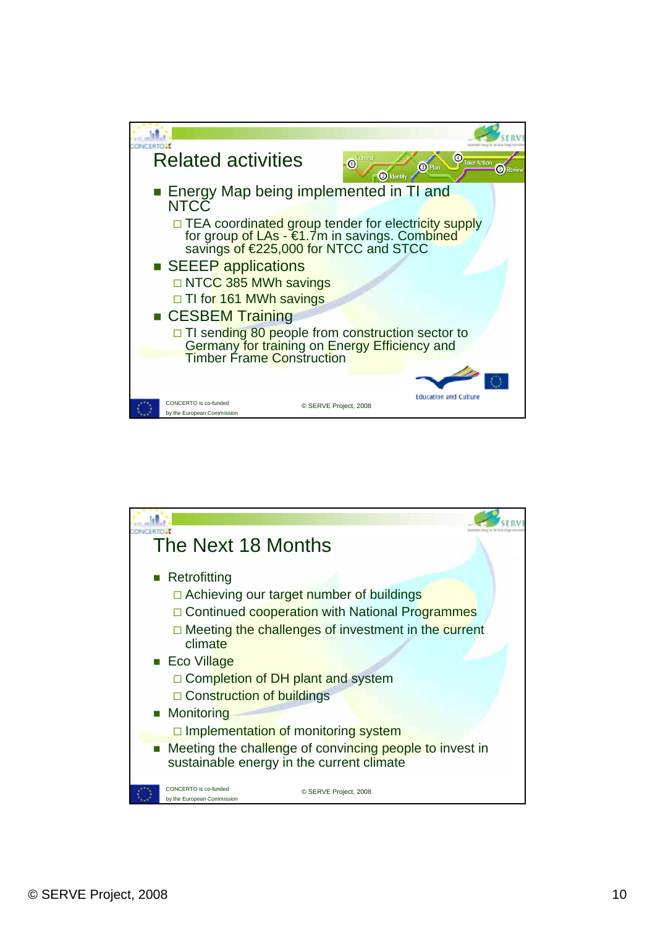